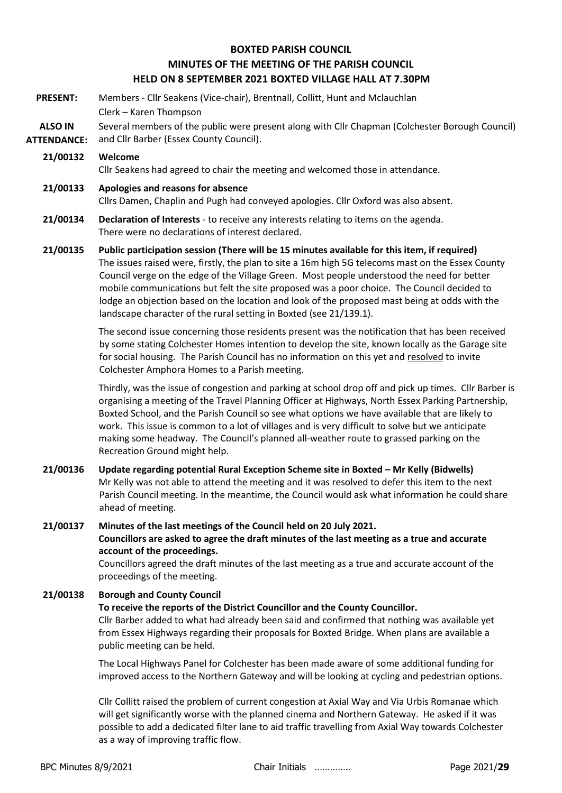## **BOXTED PARISH COUNCIL MINUTES OF THE MEETING OF THE PARISH COUNCIL HELD ON 8 SEPTEMBER 2021 BOXTED VILLAGE HALL AT 7.30PM**

- **PRESENT:** Members Cllr Seakens (Vice-chair), Brentnall, Collitt, Hunt and Mclauchlan Clerk – Karen Thompson
- **ALSO IN ATTENDANCE:** Several members of the public were present along with Cllr Chapman (Colchester Borough Council) and Cllr Barber (Essex County Council).

#### **21/00132 Welcome**

Cllr Seakens had agreed to chair the meeting and welcomed those in attendance.

#### **21/00133 Apologies and reasons for absence**

Cllrs Damen, Chaplin and Pugh had conveyed apologies. Cllr Oxford was also absent.

#### **21/00134 Declaration of Interests** - to receive any interests relating to items on the agenda. There were no declarations of interest declared.

**21/00135 Public participation session (There will be 15 minutes available for this item, if required)** The issues raised were, firstly, the plan to site a 16m high 5G telecoms mast on the Essex County Council verge on the edge of the Village Green. Most people understood the need for better mobile communications but felt the site proposed was a poor choice. The Council decided to lodge an objection based on the location and look of the proposed mast being at odds with the landscape character of the rural setting in Boxted (see 21/139.1).

> The second issue concerning those residents present was the notification that has been received by some stating Colchester Homes intention to develop the site, known locally as the Garage site for social housing. The Parish Council has no information on this yet and resolved to invite Colchester Amphora Homes to a Parish meeting.

Thirdly, was the issue of congestion and parking at school drop off and pick up times. Cllr Barber is organising a meeting of the Travel Planning Officer at Highways, North Essex Parking Partnership, Boxted School, and the Parish Council so see what options we have available that are likely to work. This issue is common to a lot of villages and is very difficult to solve but we anticipate making some headway. The Council's planned all-weather route to grassed parking on the Recreation Ground might help.

## **21/00136 Update regarding potential Rural Exception Scheme site in Boxted – Mr Kelly (Bidwells)** Mr Kelly was not able to attend the meeting and it was resolved to defer this item to the next Parish Council meeting. In the meantime, the Council would ask what information he could share ahead of meeting.

## **21/00137 Minutes of the last meetings of the Council held on 20 July 2021. Councillors are asked to agree the draft minutes of the last meeting as a true and accurate account of the proceedings.**

Councillors agreed the draft minutes of the last meeting as a true and accurate account of the proceedings of the meeting.

#### **21/00138 Borough and County Council**

#### **To receive the reports of the District Councillor and the County Councillor.**

Cllr Barber added to what had already been said and confirmed that nothing was available yet from Essex Highways regarding their proposals for Boxted Bridge. When plans are available a public meeting can be held.

The Local Highways Panel for Colchester has been made aware of some additional funding for improved access to the Northern Gateway and will be looking at cycling and pedestrian options.

Cllr Collitt raised the problem of current congestion at Axial Way and Via Urbis Romanae which will get significantly worse with the planned cinema and Northern Gateway. He asked if it was possible to add a dedicated filter lane to aid traffic travelling from Axial Way towards Colchester as a way of improving traffic flow.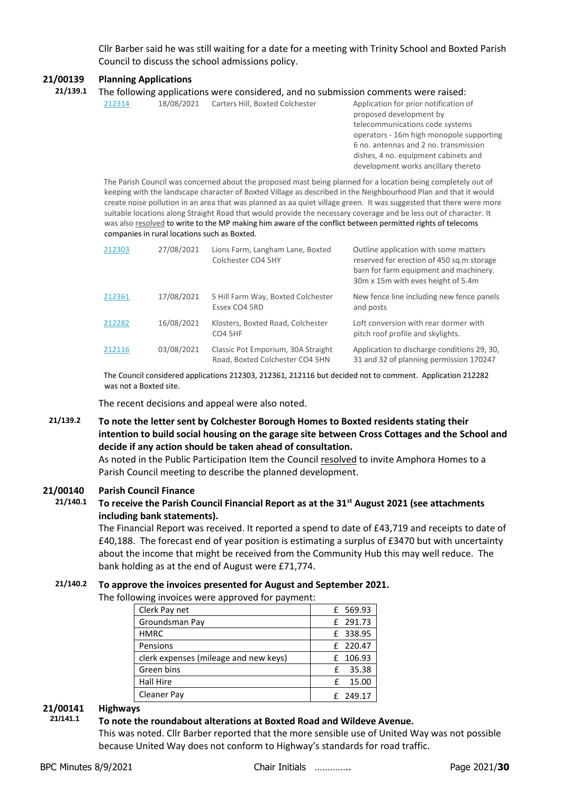Cllr Barber said he was still waiting for a date for a meeting with Trinity School and Boxted Parish Council to discuss the school admissions policy.

#### **21/00139 Planning Applications**

|  | 21/139.1 The following applications were considered, and no submission comments were raised: |
|--|----------------------------------------------------------------------------------------------|
|--|----------------------------------------------------------------------------------------------|

[212314](https://www.colchester.gov.uk/planning-app-details/?id=0f42020f-a605-ec11-94ef-0022489c0e3e) 18/08/2021 Carters Hill, Boxted Colchester Application for prior notification of proposed development by telecommunications code systems operators - 16m high monopole supporting 6 no. antennas and 2 no. transmission dishes, 4 no. equipment cabinets and development works ancillary thereto

The Parish Council was concerned about the proposed mast being planned for a location being completely out of keeping with the landscape character of Boxted Village as described in the Neighbourhood Plan and that it would create noise pollution in an area that was planned as aa quiet village green. It was suggested that there were more suitable locations along Straight Road that would provide the necessary coverage and be less out of character. It was also resolved to write to the MP making him aware of the conflict between permitted rights of telecoms companies in rural locations such as Boxted.

| 212303 | 27/08/2021 | Lions Farm, Langham Lane, Boxted<br>Colchester CO4 5HY                | Outline application with some matters<br>reserved for erection of 450 sq.m storage<br>barn for farm equipment and machinery.<br>30m x 15m with eves height of 5.4m |
|--------|------------|-----------------------------------------------------------------------|--------------------------------------------------------------------------------------------------------------------------------------------------------------------|
| 212361 | 17/08/2021 | 5 Hill Farm Way, Boxted Colchester<br>Essex CO4 5RD                   | New fence line including new fence panels<br>and posts                                                                                                             |
| 212282 | 16/08/2021 | Klosters, Boxted Road, Colchester<br>CO <sub>4</sub> 5HF              | Loft conversion with rear dormer with<br>pitch roof profile and skylights.                                                                                         |
| 212116 | 03/08/2021 | Classic Pot Emporium, 30A Straight<br>Road, Boxted Colchester CO4 5HN | Application to discharge conditions 29, 30,<br>31 and 32 of planning permission 170247                                                                             |

The Council considered applications 212303, 212361, 212116 but decided not to comment. Application 212282 was not a Boxted site.

The recent decisions and appeal were also noted.

#### **21/139.2 To note the letter sent by Colchester Borough Homes to Boxted residents stating their intention to build social housing on the garage site between Cross Cottages and the School and decide if any action should be taken ahead of consultation.**

As noted in the Public Participation Item the Council resolved to invite Amphora Homes to a Parish Council meeting to describe the planned development.

#### **21/00140 Parish Council Finance**

#### **21/140.1 To receive the Parish Council Financial Report as at the 31st August 2021 (see attachments including bank statements).**

The Financial Report was received. It reported a spend to date of £43,719 and receipts to date of £40,188. The forecast end of year position is estimating a surplus of £3470 but with uncertainty about the income that might be received from the Community Hub this may well reduce. The bank holding as at the end of August were £71,774.

## **21/140.2 To approve the invoices presented for August and September 2021.**

The following invoices were approved for payment:

|                                       |   | - - - -  |  |  |  |  |  |
|---------------------------------------|---|----------|--|--|--|--|--|
| Clerk Pay net                         |   | £ 569.93 |  |  |  |  |  |
| Groundsman Pay                        |   | £ 291.73 |  |  |  |  |  |
| <b>HMRC</b>                           |   | £ 338.95 |  |  |  |  |  |
| Pensions                              |   | £ 220.47 |  |  |  |  |  |
| clerk expenses (mileage and new keys) |   | £ 106.93 |  |  |  |  |  |
| Green bins                            | £ | 35.38    |  |  |  |  |  |
| <b>Hall Hire</b>                      | f | 15.00    |  |  |  |  |  |
| Cleaner Pay                           |   | £ 249.17 |  |  |  |  |  |

## **21/00141 Highways**

#### **21/141.1 To note the roundabout alterations at Boxted Road and Wildeve Avenue.**

This was noted. Cllr Barber reported that the more sensible use of United Way was not possible because United Way does not conform to Highway's standards for road traffic.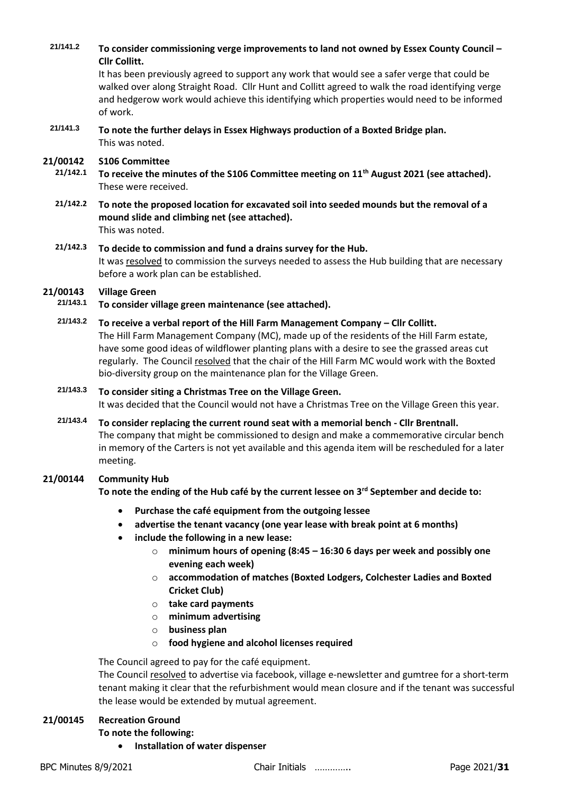**21/141.2 To consider commissioning verge improvements to land not owned by Essex County Council – Cllr Collitt.**

It has been previously agreed to support any work that would see a safer verge that could be walked over along Straight Road. Cllr Hunt and Collitt agreed to walk the road identifying verge and hedgerow work would achieve this identifying which properties would need to be informed of work.

**21/141.3 To note the further delays in Essex Highways production of a Boxted Bridge plan.** This was noted.

#### **21/00142 S106 Committee**

- **21/142.1 To receive the minutes of the S106 Committee meeting on 11th August 2021 (see attached).** These were received.
- **21/142.2 To note the proposed location for excavated soil into seeded mounds but the removal of a mound slide and climbing net (see attached).**  This was noted.
- **21/142.3 To decide to commission and fund a drains survey for the Hub.**  It was resolved to commission the surveys needed to assess the Hub building that are necessary before a work plan can be established.

# **21/00143 Village Green**

- **21/143.1 To consider village green maintenance (see attached).**
- **21/143.2 To receive a verbal report of the Hill Farm Management Company – Cllr Collitt.** The Hill Farm Management Company (MC), made up of the residents of the Hill Farm estate, have some good ideas of wildflower planting plans with a desire to see the grassed areas cut regularly. The Council resolved that the chair of the Hill Farm MC would work with the Boxted bio-diversity group on the maintenance plan for the Village Green.

## **21/143.3 To consider siting a Christmas Tree on the Village Green.** It was decided that the Council would not have a Christmas Tree on the Village Green this year.

**21/143.4 To consider replacing the current round seat with a memorial bench - Cllr Brentnall.** The company that might be commissioned to design and make a commemorative circular bench in memory of the Carters is not yet available and this agenda item will be rescheduled for a later meeting.

#### **21/00144 Community Hub**

**To note the ending of the Hub café by the current lessee on 3rd September and decide to:**

- **Purchase the café equipment from the outgoing lessee**
- **advertise the tenant vacancy (one year lease with break point at 6 months)**
- **include the following in a new lease:**
	- o **minimum hours of opening (8:45 – 16:30 6 days per week and possibly one evening each week)**
	- o **accommodation of matches (Boxted Lodgers, Colchester Ladies and Boxted Cricket Club)**
	- o **take card payments**
	- o **minimum advertising**
	- o **business plan**
	- o **food hygiene and alcohol licenses required**

The Council agreed to pay for the café equipment.

The Council resolved to advertise via facebook, village e-newsletter and gumtree for a short-term tenant making it clear that the refurbishment would mean closure and if the tenant was successful the lease would be extended by mutual agreement.

## **21/00145 Recreation Ground**

**To note the following:**

• **Installation of water dispenser**